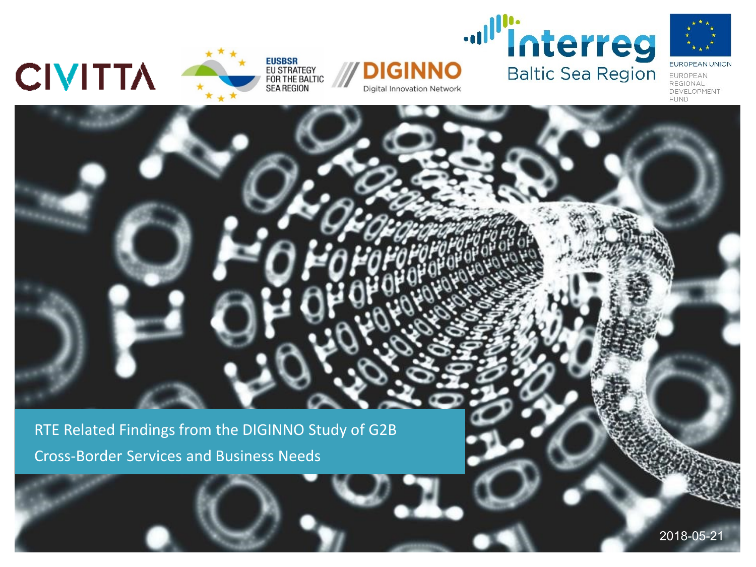**CIVITTA** 





**Digital Innovation Network** 



EUROPEAN UNION EUROPEAN REGIONAL DEVELOPMENT **FUND** 

RTE Related Findings from the DIGINNO Study of G2B Cross-Border Services and Business Needs

2018-05-21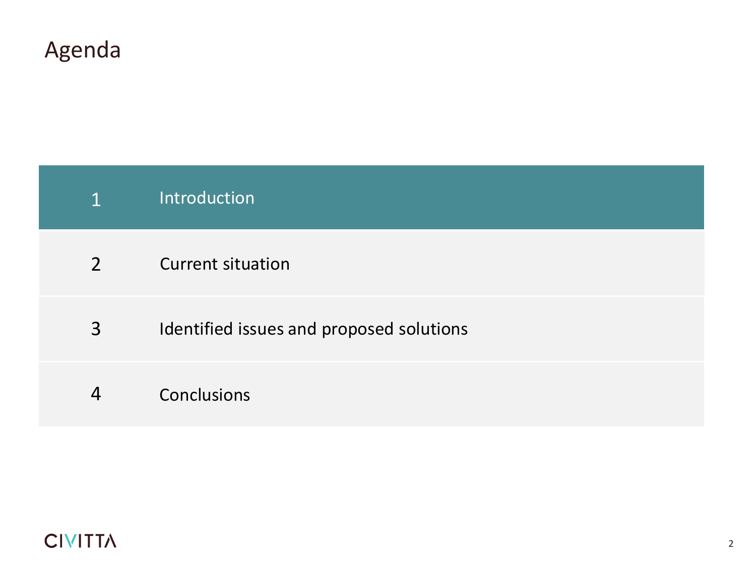|               | Introduction                             |
|---------------|------------------------------------------|
| $\mathcal{P}$ | <b>Current situation</b>                 |
| 3             | Identified issues and proposed solutions |
|               |                                          |

4 Conclusions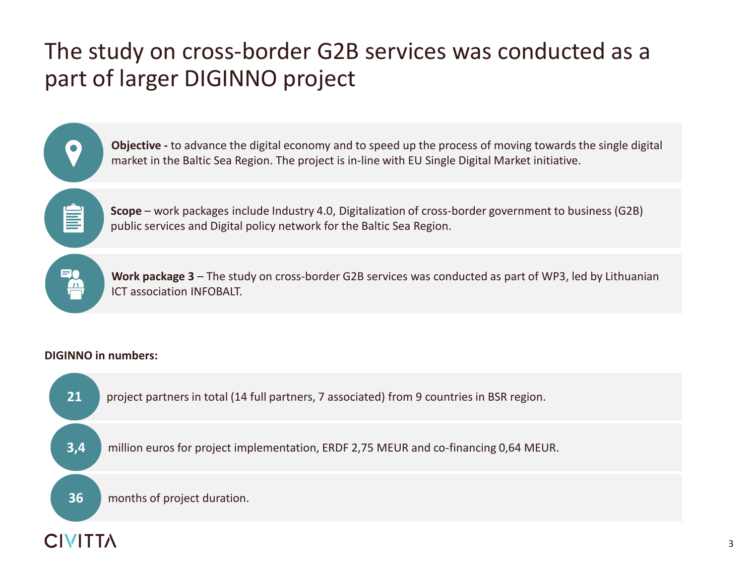# The study on cross-border G2B services was conducted as a part of larger DIGINNO project

**Objective -** to advance the digital economy and to speed up the process of moving towards the single digital market in the Baltic Sea Region. The project is in-line with EU Single Digital Market initiative.

**Scope** – work packages include Industry 4.0, Digitalization of cross-border government to business (G2B) public services and Digital policy network for the Baltic Sea Region.

**Work package 3** – The study on cross-border G2B services was conducted as part of WP3, led by Lithuanian ICT association INFOBALT.

## **DIGINNO in numbers:**

 $\bullet$ 

J

**EA** 

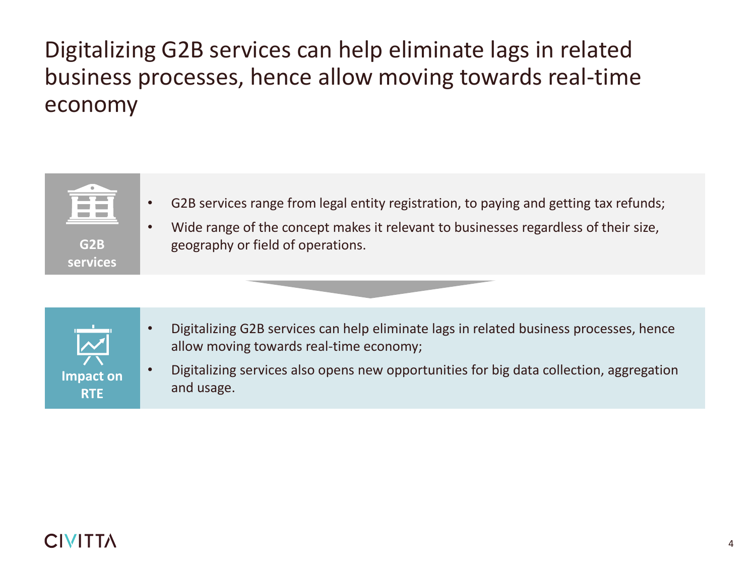# Digitalizing G2B services can help eliminate lags in related business processes, hence allow moving towards real-time economy



- G2B services range from legal entity registration, to paying and getting tax refunds;
- Wide range of the concept makes it relevant to businesses regardless of their size, geography or field of operations.



- Digitalizing G2B services can help eliminate lags in related business processes, hence allow moving towards real-time economy;
- Digitalizing services also opens new opportunities for big data collection, aggregation and usage.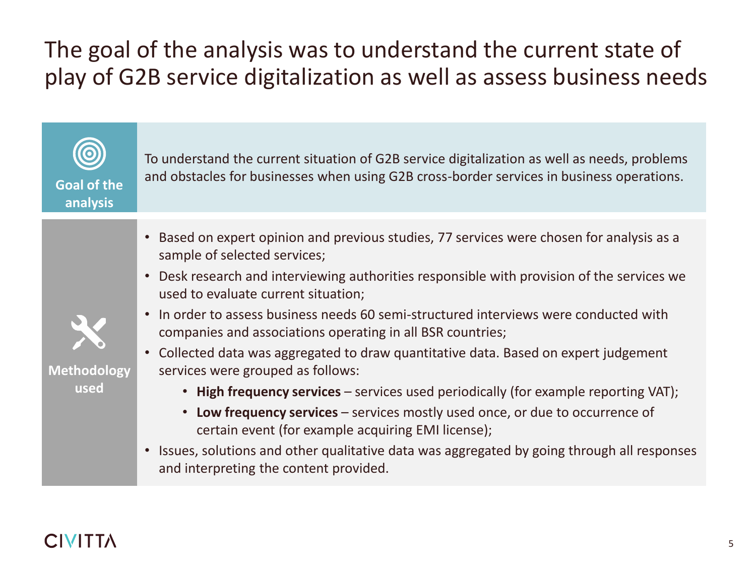# The goal of the analysis was to understand the current state of play of G2B service digitalization as well as assess business needs

**0 Goal of the analysis**

To understand the current situation of G2B service digitalization as well as needs, problems and obstacles for businesses when using G2B cross-border services in business operations.

- Based on expert opinion and previous studies, 77 services were chosen for analysis as a sample of selected services;
- Desk research and interviewing authorities responsible with provision of the services we used to evaluate current situation;



• In order to assess business needs 60 semi-structured interviews were conducted with companies and associations operating in all BSR countries;

**Methodology used**

- Collected data was aggregated to draw quantitative data. Based on expert judgement services were grouped as follows:
	- **High frequency services**  services used periodically (for example reporting VAT);
	- **Low frequency services**  services mostly used once, or due to occurrence of certain event (for example acquiring EMI license);
- Issues, solutions and other qualitative data was aggregated by going through all responses and interpreting the content provided.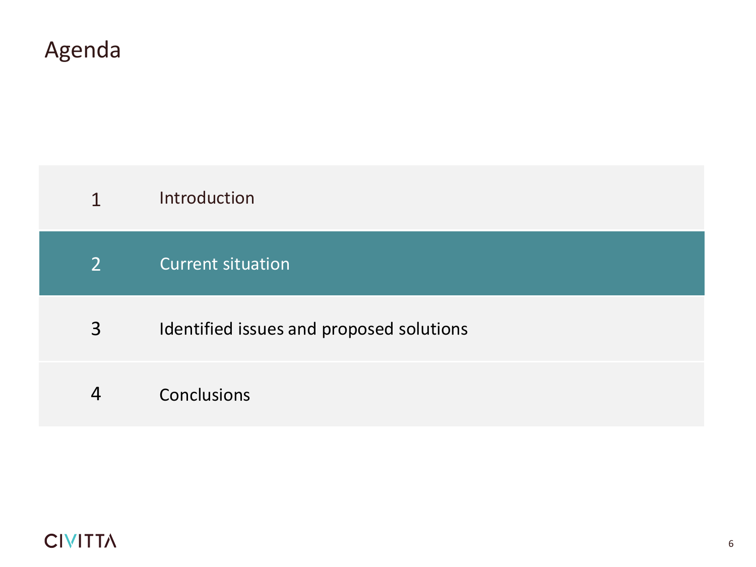### Current situation 2

- Identified issues and proposed solutions 3
- 4 Conclusions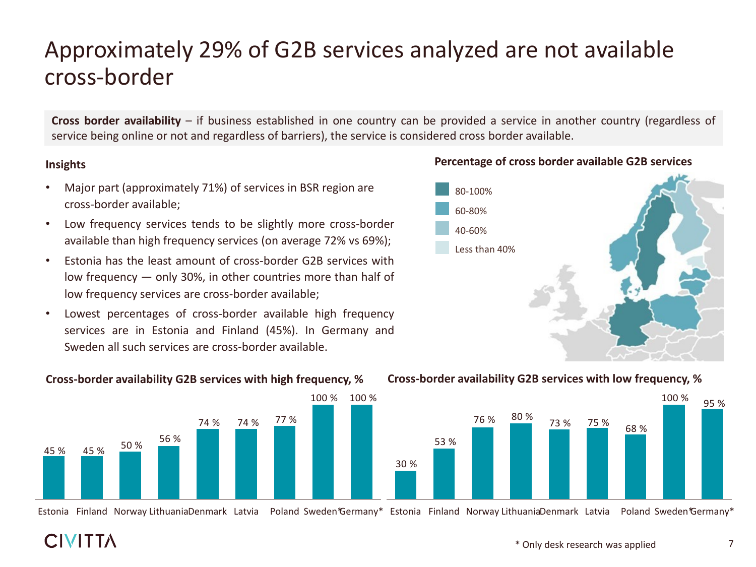# Approximately 29% of G2B services analyzed are not available cross-border

**Cross border availability** – if business established in one country can be provided a service in another country (regardless of service being online or not and regardless of barriers), the service is considered cross border available.

## **Insights**

- Major part (approximately 71%) of services in BSR region are cross-border available;
- Low frequency services tends to be slightly more cross-border available than high frequency services (on average 72% vs 69%);
- Estonia has the least amount of cross-border G2B services with low frequency — only 30%, in other countries more than half of low frequency services are cross-border available;
- Lowest percentages of cross-border available high frequency services are in Estonia and Finland (45%). In Germany and Sweden all such services are cross-border available.

**Cross-border availability G2B services with high frequency, %**



Estonia Finland Norway LithuaniaDenmark Latvia Poland Sweden\*Germany\* Estonia Finland Norway LithuaniaDenmark Latvia Poland Sweden\*Germany\*

# 60-80% 80-100% 40-60% Less than 40%



## **Percentage of cross border available G2B services**

\* Only desk research was applied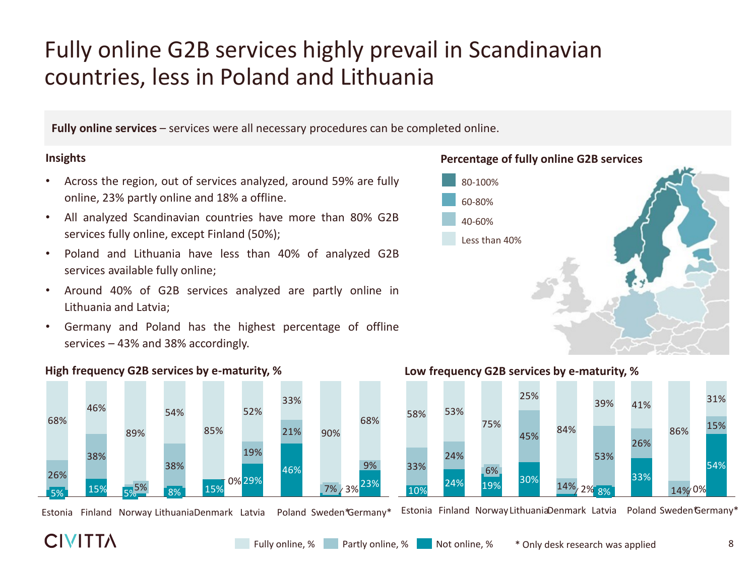# Fully online G2B services highly prevail in Scandinavian countries, less in Poland and Lithuania

**Fully online services** – services were all necessary procedures can be completed online.

## **Insights**

- Across the region, out of services analyzed, around 59% are fully online, 23% partly online and 18% a offline.
- All analyzed Scandinavian countries have more than 80% G2B services fully online, except Finland (50%);
- Poland and Lithuania have less than 40% of analyzed G2B services available fully online;
- Around 40% of G2B services analyzed are partly online in Lithuania and Latvia;
- Germany and Poland has the highest percentage of offline services – 43% and 38% accordingly.





Estonia Finland Norway LithuaniaDenmark Latvia Poland Sweden Germany\*

## **High frequency G2B services by e-maturity, % Low frequency G2B services by e-maturity, %**



Estonia Finland Norway LithuaniaDenmark Latvia Poland Sweden\*Germany\*

## **CIVITTA**

8

**Percentage of fully online G2B services**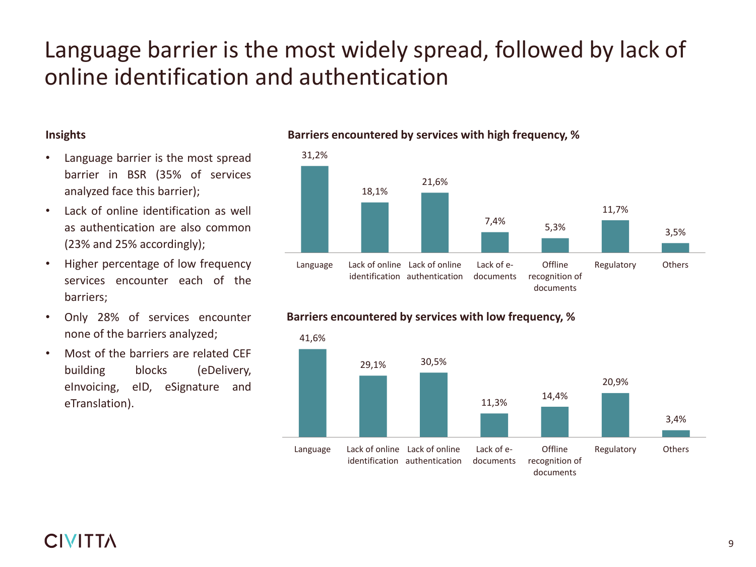# Language barrier is the most widely spread, followed by lack of online identification and authentication

## **Insights**

- Language barrier is the most spread barrier in BSR (35% of services analyzed face this barrier);
- Lack of online identification as well as authentication are also common (23% and 25% accordingly);
- Higher percentage of low frequency services encounter each of the barriers;
- Only 28% of services encounter none of the barriers analyzed;
- Most of the barriers are related CEF building blocks (eDelivery, eInvoicing, eID, eSignature and eTranslation).



## **Barriers encountered by services with high frequency, %**



## **Barriers encountered by services with low frequency, %**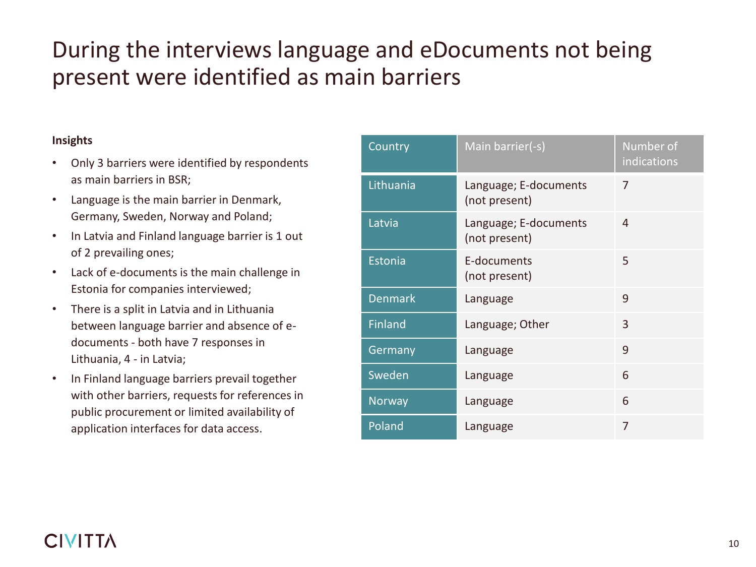# During the interviews language and eDocuments not being present were identified as main barriers

## **Insights**

- Only 3 barriers were identified by respondents as main barriers in BSR;
- Language is the main barrier in Denmark, Germany, Sweden, Norway and Poland;
- In Latvia and Finland language barrier is 1 out of 2 prevailing ones;
- Lack of e-documents is the main challenge in Estonia for companies interviewed;
- There is a split in Latvia and in Lithuania between language barrier and absence of edocuments - both have 7 responses in Lithuania, 4 - in Latvia;
- In Finland language barriers prevail together with other barriers, requests for references in public procurement or limited availability of application interfaces for data access.

| Country        | Main barrier(-s)                       | Number of<br>indications |
|----------------|----------------------------------------|--------------------------|
| Lithuania      | Language; E-documents<br>(not present) | 7                        |
| Latvia         | Language; E-documents<br>(not present) | 4                        |
| Estonia        | E-documents<br>(not present)           | 5                        |
| <b>Denmark</b> | Language                               | 9                        |
| Finland        | Language; Other                        | $\mathsf{R}$             |
| Germany        | Language                               | 9                        |
| Sweden         | Language                               | 6                        |
| Norway         | Language                               | 6                        |
| Poland         | Language                               | 7                        |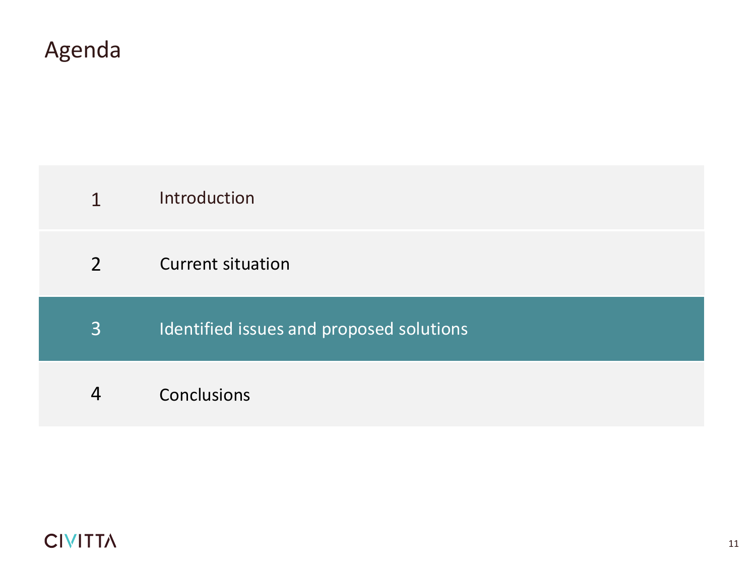Introduction 1

### Current situation 2

Identified issues and proposed solutions 3

## 4 Conclusions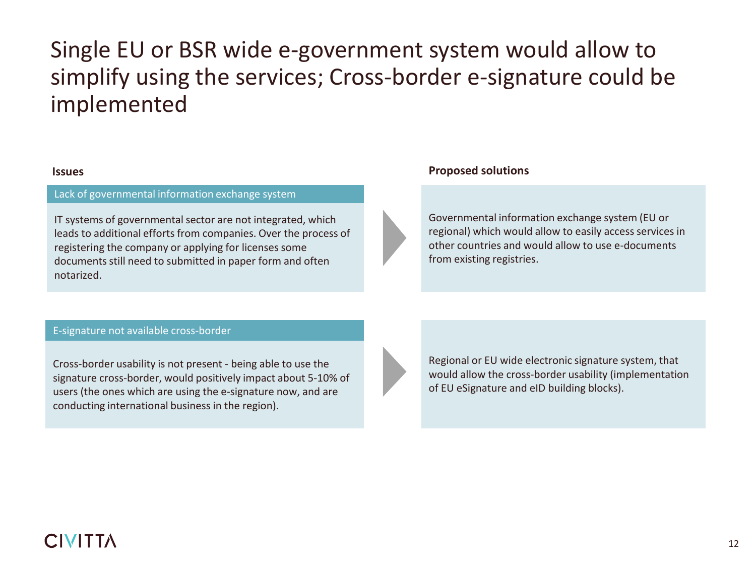# Single EU or BSR wide e-government system would allow to simplify using the services; Cross-border e-signature could be implemented

### Lack of governmental information exchange system

IT systems of governmental sector are not integrated, which leads to additional efforts from companies. Over the process of registering the company or applying for licenses some documents still need to submitted in paper form and often notarized.

### **Issues Proposed solutions**

Governmental information exchange system (EU or regional) which would allow to easily access services in other countries and would allow to use e-documents from existing registries.

### E-signature not available cross-border

Cross-border usability is not present - being able to use the signature cross-border, would positively impact about 5-10% of users (the ones which are using the e-signature now, and are conducting international business in the region).

Regional or EU wide electronic signature system, that would allow the cross-border usability (implementation of EU eSignature and eID building blocks).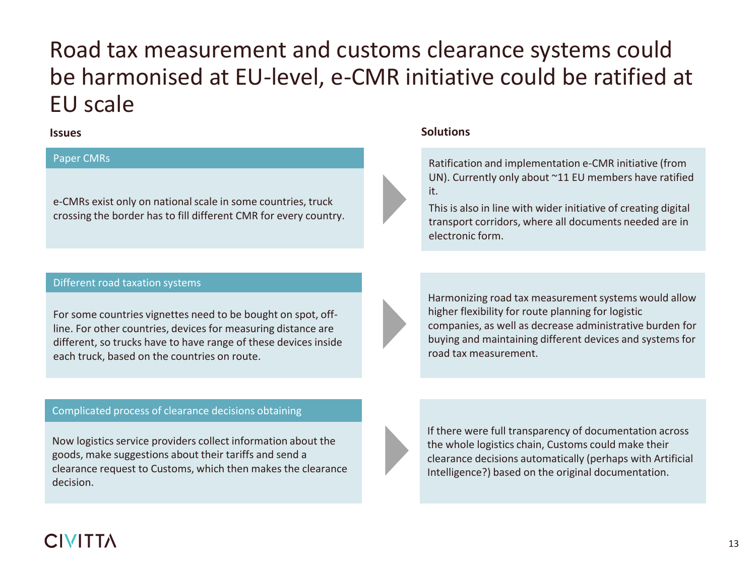# Road tax measurement and customs clearance systems could be harmonised at EU-level, e-CMR initiative could be ratified at EU scale

### Paper CMRs

e-CMRs exist only on national scale in some countries, truck crossing the border has to fill different CMR for every country.

### Different road taxation systems

For some countries vignettes need to be bought on spot, offline. For other countries, devices for measuring distance are different, so trucks have to have range of these devices inside each truck, based on the countries on route.

## Complicated process of clearance decisions obtaining

Now logistics service providers collect information about the goods, make suggestions about their tariffs and send a clearance request to Customs, which then makes the clearance decision.

## **Issues Solutions**

Ratification and implementation e-CMR initiative (from UN). Currently only about ~11 EU members have ratified it.

This is also in line with wider initiative of creating digital transport corridors, where all documents needed are in electronic form.

Harmonizing road tax measurement systems would allow higher flexibility for route planning for logistic companies, as well as decrease administrative burden for buying and maintaining different devices and systems for road tax measurement.

If there were full transparency of documentation across the whole logistics chain, Customs could make their clearance decisions automatically (perhaps with Artificial Intelligence?) based on the original documentation.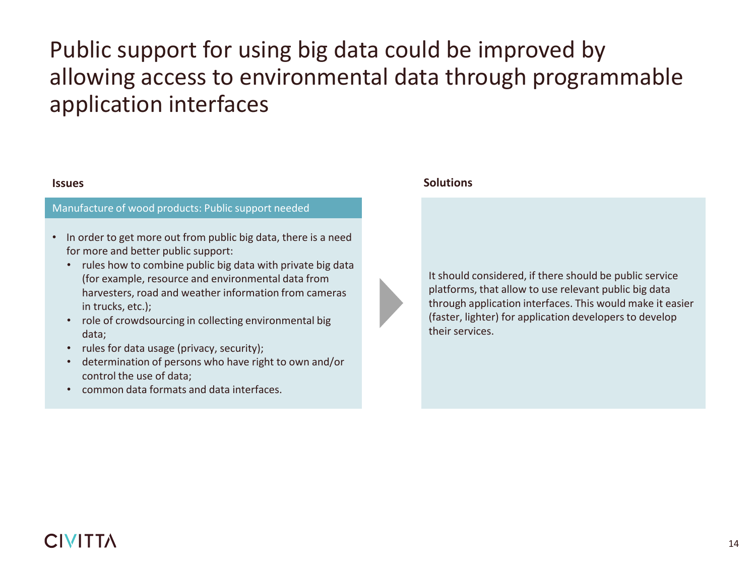# Public support for using big data could be improved by allowing access to environmental data through programmable application interfaces

### Manufacture of wood products: Public support needed

- In order to get more out from public big data, there is a need for more and better public support:
	- rules how to combine public big data with private big data (for example, resource and environmental data from harvesters, road and weather information from cameras in trucks, etc.);
	- role of crowdsourcing in collecting environmental big data;
	- rules for data usage (privacy, security);
	- determination of persons who have right to own and/or control the use of data;
	- common data formats and data interfaces.

## **Issues Solutions**

It should considered, if there should be public service platforms, that allow to use relevant public big data through application interfaces. This would make it easier (faster, lighter) for application developers to develop their services.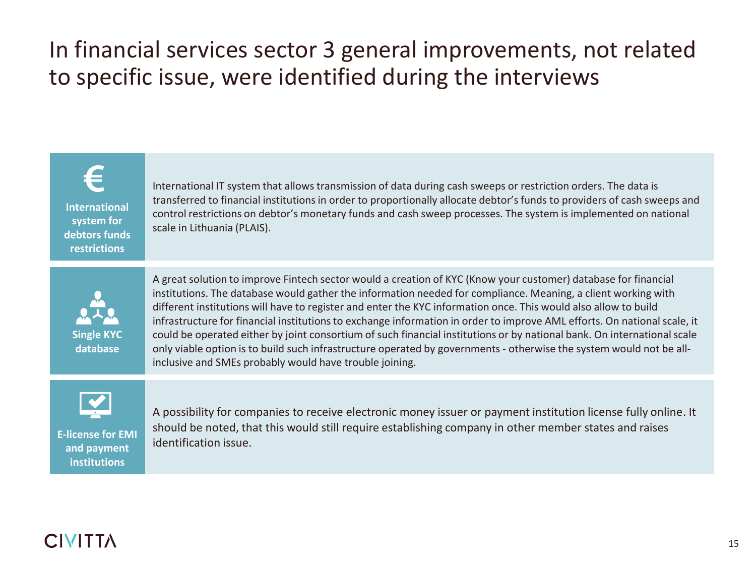# In financial services sector 3 general improvements, not related to specific issue, were identified during the interviews

**International system for debtors funds restrictions**

International IT system that allows transmission of data during cash sweeps or restriction orders. The data is transferred to financial institutions in order to proportionally allocate debtor's funds to providers of cash sweeps and control restrictions on debtor's monetary funds and cash sweep processes. The system is implemented on national scale in Lithuania (PLAIS).



A great solution to improve Fintech sector would a creation of KYC (Know your customer) database for financial institutions. The database would gather the information needed for compliance. Meaning, a client working with different institutions will have to register and enter the KYC information once. This would also allow to build infrastructure for financial institutions to exchange information in order to improve AML efforts. On national scale, it could be operated either by joint consortium of such financial institutions or by national bank. On international scale only viable option is to build such infrastructure operated by governments - otherwise the system would not be allinclusive and SMEs probably would have trouble joining.



**and payment institutions**

A possibility for companies to receive electronic money issuer or payment institution license fully online. It should be noted, that this would still require establishing company in other member states and raises **E-license for EMI E-license for EMI** *identification issue.*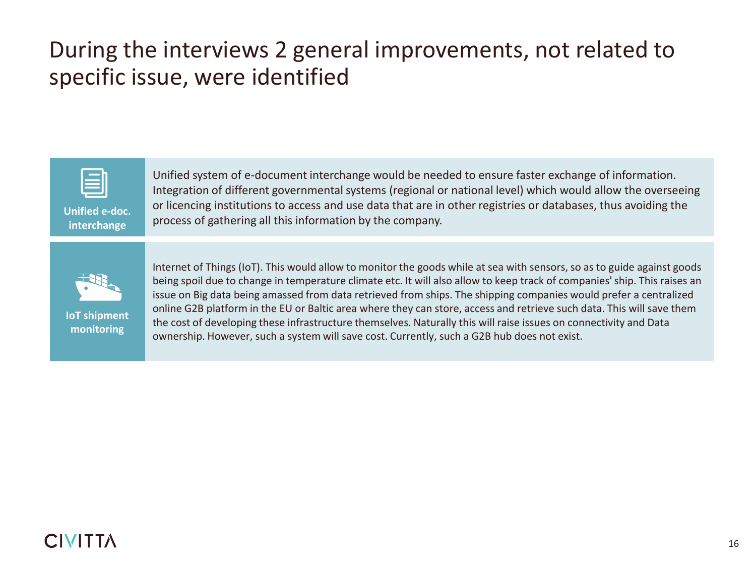# During the interviews 2 general improvements, not related to specific issue, were identified



**Unified e-doc. interchange**

Unified system of e-document interchange would be needed to ensure faster exchange of information. Integration of different governmental systems (regional or national level) which would allow the overseeing or licencing institutions to access and use data that are in other registries or databases, thus avoiding the process of gathering all this information by the company.



**IoT shipment monitoring**

Internet of Things (IoT). This would allow to monitor the goods while at sea with sensors, so as to guide against goods being spoil due to change in temperature climate etc. It will also allow to keep track of companies' ship. This raises an issue on Big data being amassed from data retrieved from ships. The shipping companies would prefer a centralized online G2B platform in the EU or Baltic area where they can store, access and retrieve such data. This will save them the cost of developing these infrastructure themselves. Naturally this will raise issues on connectivity and Data ownership. However, such a system will save cost. Currently, such a G2B hub does not exist.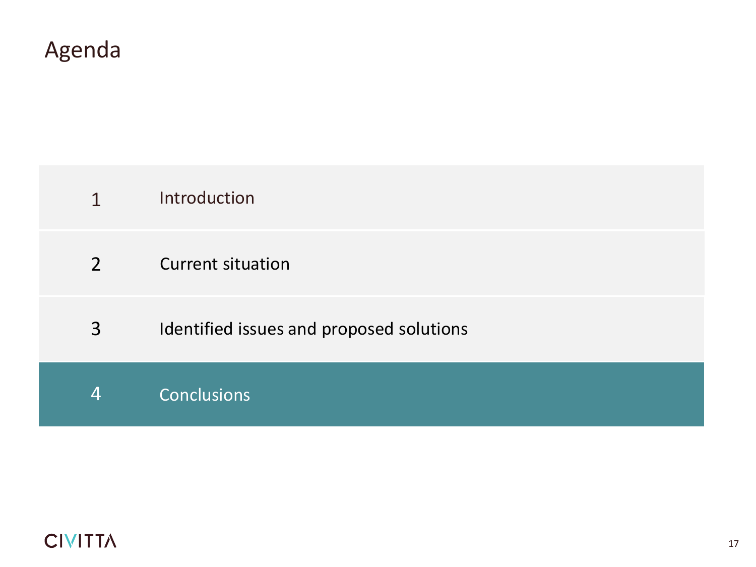- Introduction 1
- Current situation 2
- Identified issues and proposed solutions 3
- 4 Conclusions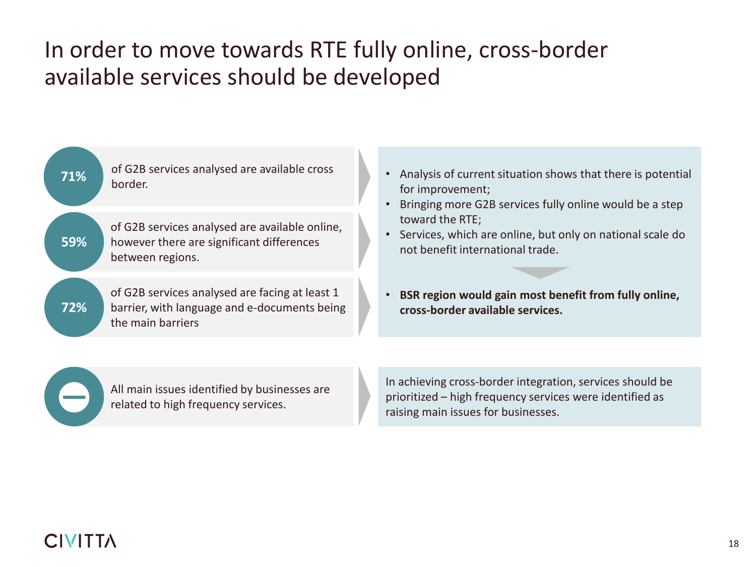# In order to move towards RTE fully online, cross-border available services should be developed

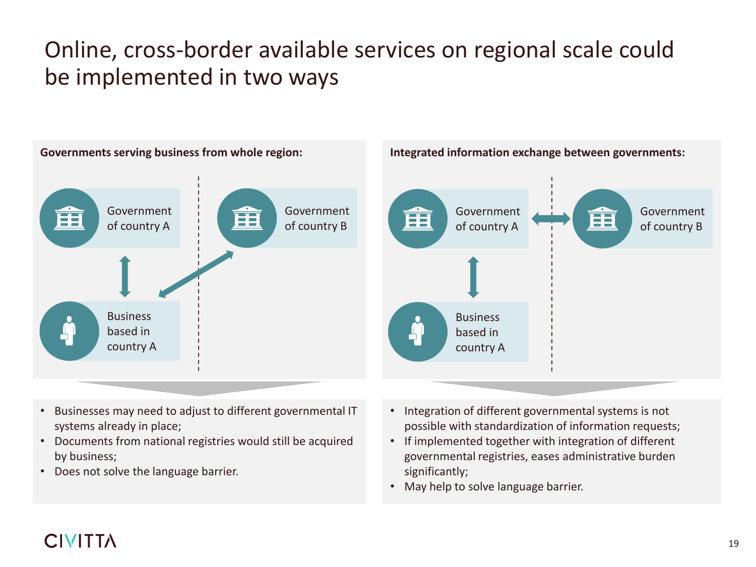# Online, cross-border available services on regional scale could be implemented in two ways



- Businesses may need to adjust to different governmental IT systems already in place;
- Documents from national registries would still be acquired by business;
- Does not solve the language barrier.
- Integration of different governmental systems is not possible with standardization of information requests;
- If implemented together with integration of different governmental registries, eases administrative burden significantly;
- May help to solve language barrier.